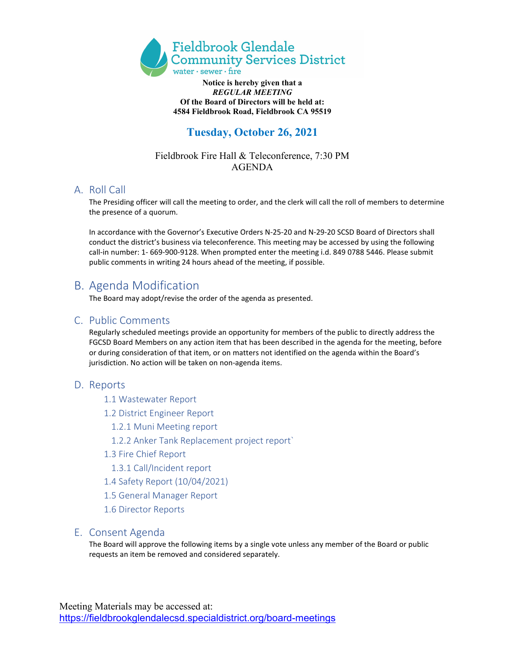

#### **Notice is hereby given that a** *REGULAR MEETING*  **Of the Board of Directors will be held at: 4584 Fieldbrook Road, Fieldbrook CA 95519**

# **Tuesday, October 26, 2021**

## Fieldbrook Fire Hall & Teleconference, 7:30 PM AGENDA

## A. Roll Call

The Presiding officer will call the meeting to order, and the clerk will call the roll of members to determine the presence of a quorum.

In accordance with the Governor's Executive Orders N-25-20 and N-29-20 SCSD Board of Directors shall conduct the district's business via teleconference. This meeting may be accessed by using the following call-in number: 1- 669-900-9128. When prompted enter the meeting i.d. 849 0788 5446. Please submit public comments in writing 24 hours ahead of the meeting, if possible.

## B. Agenda Modification

The Board may adopt/revise the order of the agenda as presented.

## C. Public Comments

Regularly scheduled meetings provide an opportunity for members of the public to directly address the FGCSD Board Members on any action item that has been described in the agenda for the meeting, before or during consideration of that item, or on matters not identified on the agenda within the Board's jurisdiction. No action will be taken on non-agenda items.

## D. Reports

- 1.1 Wastewater Report
- 1.2 District Engineer Report
	- 1.2.1 Muni Meeting report
	- 1.2.2 Anker Tank Replacement project report`
- 1.3 Fire Chief Report
	- 1.3.1 Call/Incident report
- 1.4 Safety Report (10/04/2021)
- 1.5 General Manager Report
- 1.6 Director Reports

### E. Consent Agenda

The Board will approve the following items by a single vote unless any member of the Board or public requests an item be removed and considered separately.